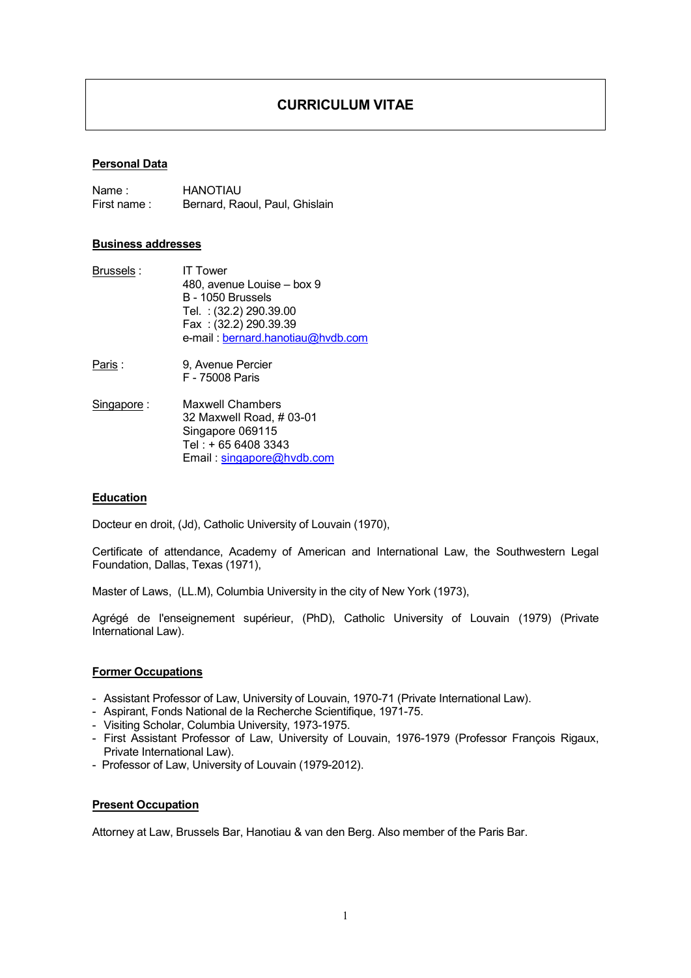# CURRICULUM VITAE

## Personal Data

Name : HANOTIAU First name : Bernard, Raoul, Paul, Ghislain

## Business addresses

- Brussels : IT Tower 480, avenue Louise – box 9 B - 1050 Brussels Tel. : (32.2) 290.39.00 Fax : (32.2) 290.39.39 e-mail : [bernard.hanotiau@hvdb.com](mailto:bernard.hanotiau@hvdb.com)
- Paris : 9, Avenue Percier F - 75008 Paris
- Singapore : Maxwell Chambers 32 Maxwell Road, # 03-01 Singapore 069115 Tel : + 65 6408 3343 Email : [singapore@hvdb.com](mailto:singapore@hvdb.com)

# **Education**

Docteur en droit, (Jd), Catholic University of Louvain (1970),

Certificate of attendance, Academy of American and International Law, the Southwestern Legal Foundation, Dallas, Texas (1971),

Master of Laws, (LL.M), Columbia University in the city of New York (1973),

Agrégé de l'enseignement supérieur, (PhD), Catholic University of Louvain (1979) (Private International Law).

## Former Occupations

- Assistant Professor of Law, University of Louvain, 1970-71 (Private International Law).
- Aspirant, Fonds National de la Recherche Scientifique, 1971-75.
- Visiting Scholar, Columbia University, 1973-1975.
- First Assistant Professor of Law, University of Louvain, 1976-1979 (Professor François Rigaux, Private International Law).
- Professor of Law, University of Louvain (1979-2012).

## Present Occupation

Attorney at Law, Brussels Bar, Hanotiau & van den Berg. Also member of the Paris Bar.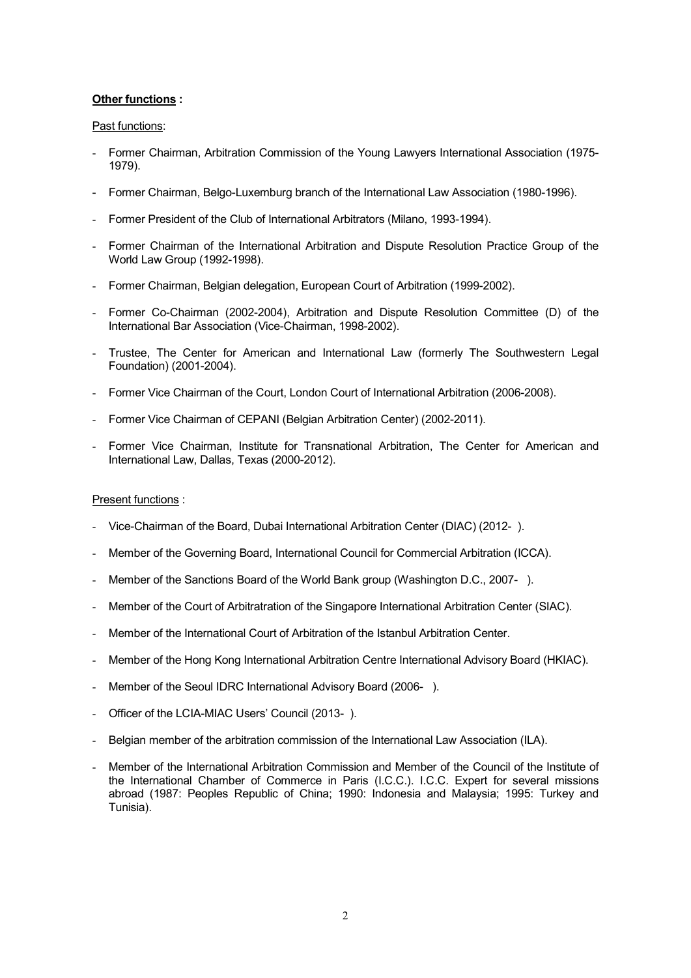# Other functions :

# Past functions:

- Former Chairman, Arbitration Commission of the Young Lawyers International Association (1975- 1979).
- Former Chairman, Belgo-Luxemburg branch of the International Law Association (1980-1996).
- Former President of the Club of International Arbitrators (Milano, 1993-1994).
- Former Chairman of the International Arbitration and Dispute Resolution Practice Group of the World Law Group (1992-1998).
- Former Chairman, Belgian delegation, European Court of Arbitration (1999-2002).
- Former Co-Chairman (2002-2004), Arbitration and Dispute Resolution Committee (D) of the International Bar Association (Vice-Chairman, 1998-2002).
- Trustee, The Center for American and International Law (formerly The Southwestern Legal Foundation) (2001-2004).
- Former Vice Chairman of the Court, London Court of International Arbitration (2006-2008).
- Former Vice Chairman of CEPANI (Belgian Arbitration Center) (2002-2011).
- Former Vice Chairman, Institute for Transnational Arbitration, The Center for American and International Law, Dallas, Texas (2000-2012).

# Present functions :

- Vice-Chairman of the Board, Dubai International Arbitration Center (DIAC) (2012- ).
- Member of the Governing Board, International Council for Commercial Arbitration (ICCA).
- Member of the Sanctions Board of the World Bank group (Washington D.C., 2007-).
- Member of the Court of Arbitratration of the Singapore International Arbitration Center (SIAC).
- Member of the International Court of Arbitration of the Istanbul Arbitration Center.
- Member of the Hong Kong International Arbitration Centre International Advisory Board (HKIAC).
- Member of the Seoul IDRC International Advisory Board (2006-).
- Officer of the LCIA-MIAC Users' Council (2013-).
- Belgian member of the arbitration commission of the International Law Association (ILA).
- Member of the International Arbitration Commission and Member of the Council of the Institute of the International Chamber of Commerce in Paris (I.C.C.). I.C.C. Expert for several missions abroad (1987: Peoples Republic of China; 1990: Indonesia and Malaysia; 1995: Turkey and Tunisia).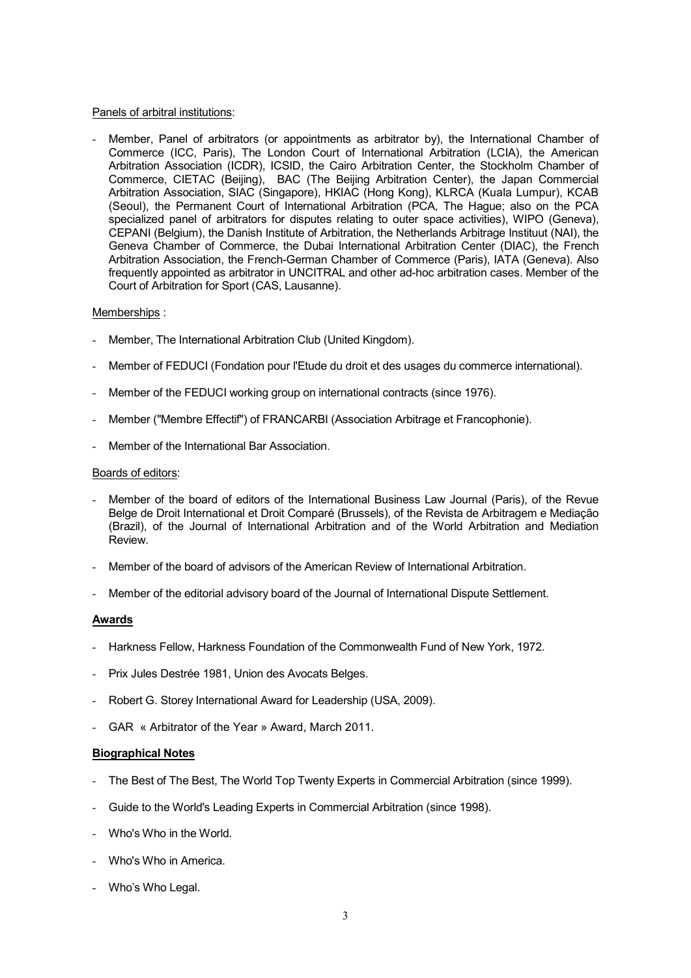## Panels of arbitral institutions:

Member, Panel of arbitrators (or appointments as arbitrator by), the International Chamber of Commerce (ICC, Paris), The London Court of International Arbitration (LCIA), the American Arbitration Association (ICDR), ICSID, the Cairo Arbitration Center, the Stockholm Chamber of Commerce, CIETAC (Beijing), BAC (The Beijing Arbitration Center), the Japan Commercial Arbitration Association, SIAC (Singapore), HKIAC (Hong Kong), KLRCA (Kuala Lumpur), KCAB (Seoul), the Permanent Court of International Arbitration (PCA, The Hague; also on the PCA specialized panel of arbitrators for disputes relating to outer space activities), WIPO (Geneva), CEPANI (Belgium), the Danish Institute of Arbitration, the Netherlands Arbitrage Instituut (NAI), the Geneva Chamber of Commerce, the Dubai International Arbitration Center (DIAC), the French Arbitration Association, the French-German Chamber of Commerce (Paris), IATA (Geneva). Also frequently appointed as arbitrator in UNCITRAL and other ad-hoc arbitration cases. Member of the Court of Arbitration for Sport (CAS, Lausanne).

## Memberships :

- Member, The International Arbitration Club (United Kingdom).
- Member of FEDUCI (Fondation pour l'Etude du droit et des usages du commerce international).
- Member of the FEDUCI working group on international contracts (since 1976).
- Member ("Membre Effectif") of FRANCARBI (Association Arbitrage et Francophonie).
- Member of the International Bar Association.

## Boards of editors:

- Member of the board of editors of the International Business Law Journal (Paris), of the Revue Belge de Droit International et Droit Comparé (Brussels), of the Revista de Arbitragem e Mediação (Brazil), of the Journal of International Arbitration and of the World Arbitration and Mediation Review.
- Member of the board of advisors of the American Review of International Arbitration.
- Member of the editorial advisory board of the Journal of International Dispute Settlement.

## Awards

- Harkness Fellow, Harkness Foundation of the Commonwealth Fund of New York, 1972.
- Prix Jules Destrée 1981, Union des Avocats Belges.
- Robert G. Storey International Award for Leadership (USA, 2009).
- GAR « Arbitrator of the Year » Award, March 2011.

## Biographical Notes

- The Best of The Best, The World Top Twenty Experts in Commercial Arbitration (since 1999).
- Guide to the World's Leading Experts in Commercial Arbitration (since 1998).
- Who's Who in the World.
- Who's Who in America.
- Who's Who Legal.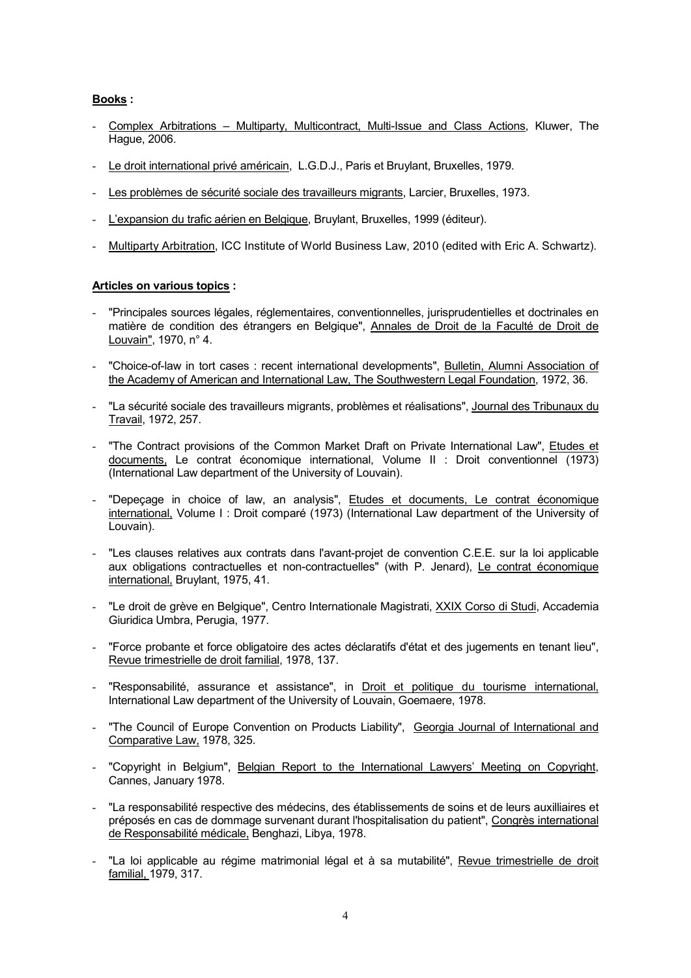# Books :

- Complex Arbitrations Multiparty, Multicontract, Multi-Issue and Class Actions, Kluwer, The Hague, 2006.
- Le droit international privé américain, L.G.D.J., Paris et Bruylant, Bruxelles, 1979.
- Les problèmes de sécurité sociale des travailleurs migrants, Larcier, Bruxelles, 1973.
- L'expansion du trafic aérien en Belgique, Bruylant, Bruxelles, 1999 (éditeur).
- Multiparty Arbitration, ICC Institute of World Business Law, 2010 (edited with Eric A. Schwartz).

## Articles on various topics :

- "Principales sources légales, réglementaires, conventionnelles, jurisprudentielles et doctrinales en matière de condition des étrangers en Belgique", Annales de Droit de la Faculté de Droit de Louvain", 1970, n° 4.
- "Choice-of-law in tort cases : recent international developments", Bulletin, Alumni Association of the Academy of American and International Law, The Southwestern Legal Foundation, 1972, 36.
- "La sécurité sociale des travailleurs migrants, problèmes et réalisations", Journal des Tribunaux du Travail, 1972, 257.
- "The Contract provisions of the Common Market Draft on Private International Law", Etudes et documents, Le contrat économique international, Volume II : Droit conventionnel (1973) (International Law department of the University of Louvain).
- "Depeçage in choice of law, an analysis", Etudes et documents, Le contrat économique international, Volume I : Droit comparé (1973) (International Law department of the University of Louvain).
- "Les clauses relatives aux contrats dans l'avant-projet de convention C.E.E. sur la loi applicable aux obligations contractuelles et non-contractuelles" (with P. Jenard), Le contrat économique international, Bruylant, 1975, 41.
- "Le droit de grève en Belgique", Centro Internationale Magistrati, XXIX Corso di Studi, Accademia Giuridica Umbra, Perugia, 1977.
- "Force probante et force obligatoire des actes déclaratifs d'état et des jugements en tenant lieu", Revue trimestrielle de droit familial, 1978, 137.
- "Responsabilité, assurance et assistance", in Droit et politique du tourisme international, International Law department of the University of Louvain, Goemaere, 1978.
- "The Council of Europe Convention on Products Liability", Georgia Journal of International and Comparative Law, 1978, 325.
- "Copyright in Belgium", Belgian Report to the International Lawyers' Meeting on Copyright, Cannes, January 1978.
- "La responsabilité respective des médecins, des établissements de soins et de leurs auxilliaires et préposés en cas de dommage survenant durant l'hospitalisation du patient", Congrès international de Responsabilité médicale, Benghazi, Libya, 1978.
- "La loi applicable au régime matrimonial légal et à sa mutabilité", Revue trimestrielle de droit familial, 1979, 317.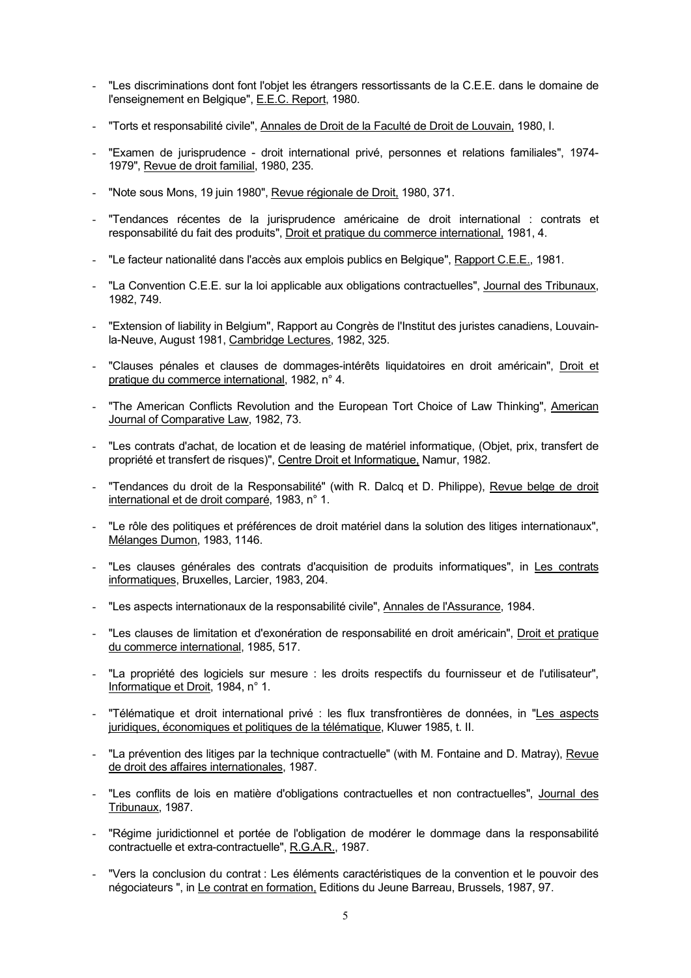- "Les discriminations dont font l'objet les étrangers ressortissants de la C.E.E. dans le domaine de l'enseignement en Belgique", E.E.C. Report, 1980.
- "Torts et responsabilité civile", Annales de Droit de la Faculté de Droit de Louvain, 1980, I.
- "Examen de jurisprudence droit international privé, personnes et relations familiales", 1974- 1979", Revue de droit familial, 1980, 235.
- "Note sous Mons, 19 juin 1980", Revue régionale de Droit, 1980, 371.
- "Tendances récentes de la jurisprudence américaine de droit international : contrats et responsabilité du fait des produits", Droit et pratique du commerce international, 1981, 4.
- "Le facteur nationalité dans l'accès aux emplois publics en Belgique", Rapport C.E.E., 1981.
- "La Convention C.E.E. sur la loi applicable aux obligations contractuelles", Journal des Tribunaux, 1982, 749.
- "Extension of liability in Belgium", Rapport au Congrès de l'Institut des juristes canadiens, Louvainla-Neuve, August 1981, Cambridge Lectures, 1982, 325.
- "Clauses pénales et clauses de dommages-intérêts liquidatoires en droit américain", Droit et pratique du commerce international, 1982, n° 4.
- "The American Conflicts Revolution and the European Tort Choice of Law Thinking", American Journal of Comparative Law, 1982, 73.
- "Les contrats d'achat, de location et de leasing de matériel informatique, (Objet, prix, transfert de propriété et transfert de risques)", Centre Droit et Informatique, Namur, 1982.
- "Tendances du droit de la Responsabilité" (with R. Dalcq et D. Philippe), Revue belge de droit international et de droit comparé, 1983, n° 1.
- "Le rôle des politiques et préférences de droit matériel dans la solution des litiges internationaux", Mélanges Dumon, 1983, 1146.
- "Les clauses générales des contrats d'acquisition de produits informatiques", in Les contrats informatiques, Bruxelles, Larcier, 1983, 204.
- "Les aspects internationaux de la responsabilité civile", Annales de l'Assurance, 1984.
- "Les clauses de limitation et d'exonération de responsabilité en droit américain", Droit et pratique du commerce international, 1985, 517.
- "La propriété des logiciels sur mesure : les droits respectifs du fournisseur et de l'utilisateur", Informatique et Droit, 1984, n° 1.
- "Télématique et droit international privé : les flux transfrontières de données, in "Les aspects juridiques, économiques et politiques de la télématique, Kluwer 1985, t. II.
- "La prévention des litiges par la technique contractuelle" (with M. Fontaine and D. Matray), Revue de droit des affaires internationales, 1987.
- "Les conflits de lois en matière d'obligations contractuelles et non contractuelles", Journal des Tribunaux, 1987.
- "Régime juridictionnel et portée de l'obligation de modérer le dommage dans la responsabilité contractuelle et extra-contractuelle", R.G.A.R., 1987.
- "Vers la conclusion du contrat : Les éléments caractéristiques de la convention et le pouvoir des négociateurs ", in Le contrat en formation, Editions du Jeune Barreau, Brussels, 1987, 97.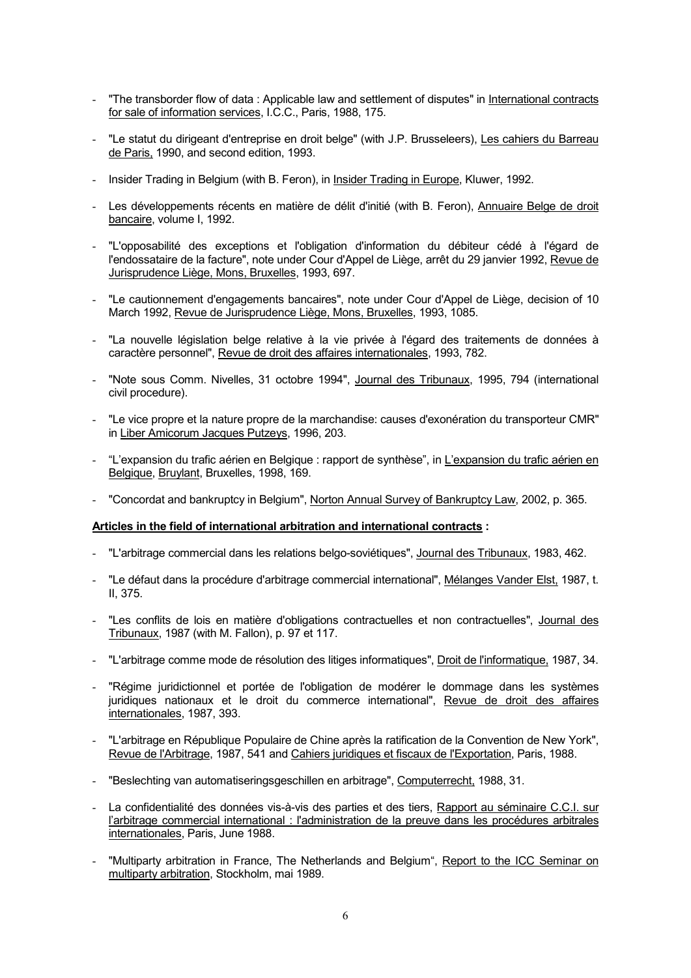- "The transborder flow of data : Applicable law and settlement of disputes" in International contracts for sale of information services, I.C.C., Paris, 1988, 175.
- "Le statut du dirigeant d'entreprise en droit belge" (with J.P. Brusseleers), Les cahiers du Barreau de Paris, 1990, and second edition, 1993.
- Insider Trading in Belgium (with B. Feron), in Insider Trading in Europe, Kluwer, 1992.
- Les développements récents en matière de délit d'initié (with B. Feron), Annuaire Belge de droit bancaire, volume I, 1992.
- "L'opposabilité des exceptions et l'obligation d'information du débiteur cédé à l'égard de l'endossataire de la facture", note under Cour d'Appel de Liège, arrêt du 29 janvier 1992, Revue de Jurisprudence Liège, Mons, Bruxelles, 1993, 697.
- "Le cautionnement d'engagements bancaires", note under Cour d'Appel de Liège, decision of 10 March 1992, Revue de Jurisprudence Liège, Mons, Bruxelles, 1993, 1085.
- "La nouvelle législation belge relative à la vie privée à l'égard des traitements de données à caractère personnel", Revue de droit des affaires internationales, 1993, 782.
- "Note sous Comm. Nivelles, 31 octobre 1994", Journal des Tribunaux, 1995, 794 (international civil procedure).
- "Le vice propre et la nature propre de la marchandise: causes d'exonération du transporteur CMR" in Liber Amicorum Jacques Putzeys, 1996, 203.
- "L'expansion du trafic aérien en Belgique : rapport de synthèse", in L'expansion du trafic aérien en Belgique, Bruylant, Bruxelles, 1998, 169.
- "Concordat and bankruptcy in Belgium", Norton Annual Survey of Bankruptcy Law, 2002, p. 365.

## Articles in the field of international arbitration and international contracts :

- "L'arbitrage commercial dans les relations belgo-soviétiques", Journal des Tribunaux, 1983, 462.
- "Le défaut dans la procédure d'arbitrage commercial international", Mélanges Vander Elst, 1987, t. II, 375.
- "Les conflits de lois en matière d'obligations contractuelles et non contractuelles", Journal des Tribunaux, 1987 (with M. Fallon), p. 97 et 117.
- "L'arbitrage comme mode de résolution des litiges informatiques", Droit de l'informatique, 1987, 34.
- "Régime juridictionnel et portée de l'obligation de modérer le dommage dans les systèmes juridiques nationaux et le droit du commerce international", Revue de droit des affaires internationales, 1987, 393.
- "L'arbitrage en République Populaire de Chine après la ratification de la Convention de New York", Revue de l'Arbitrage, 1987, 541 and Cahiers juridiques et fiscaux de l'Exportation, Paris, 1988.
- "Beslechting van automatiseringsgeschillen en arbitrage", Computerrecht, 1988, 31.
- La confidentialité des données vis-à-vis des parties et des tiers, Rapport au séminaire C.C.I. sur l'arbitrage commercial international : l'administration de la preuve dans les procédures arbitrales internationales, Paris, June 1988.
- "Multiparty arbitration in France, The Netherlands and Belgium", Report to the ICC Seminar on multiparty arbitration, Stockholm, mai 1989.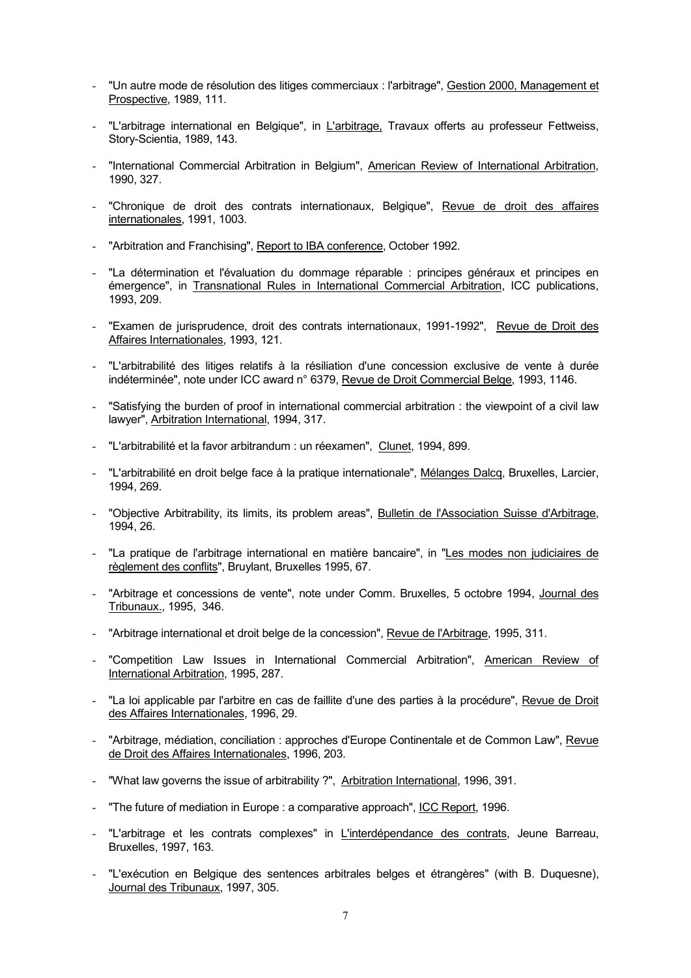- "Un autre mode de résolution des litiges commerciaux : l'arbitrage", Gestion 2000, Management et Prospective, 1989, 111.
- "L'arbitrage international en Belgique", in L'arbitrage, Travaux offerts au professeur Fettweiss, Story-Scientia, 1989, 143.
- "International Commercial Arbitration in Belgium", American Review of International Arbitration, 1990, 327.
- "Chronique de droit des contrats internationaux, Belgique", Revue de droit des affaires internationales, 1991, 1003.
- "Arbitration and Franchising", Report to IBA conference, October 1992.
- "La détermination et l'évaluation du dommage réparable : principes généraux et principes en émergence", in Transnational Rules in International Commercial Arbitration, ICC publications, 1993, 209.
- "Examen de jurisprudence, droit des contrats internationaux, 1991-1992", Revue de Droit des Affaires Internationales, 1993, 121.
- "L'arbitrabilité des litiges relatifs à la résiliation d'une concession exclusive de vente à durée indéterminée", note under ICC award n° 6379, Revue de Droit Commercial Belge, 1993, 1146.
- "Satisfying the burden of proof in international commercial arbitration : the viewpoint of a civil law lawyer", Arbitration International, 1994, 317.
- "L'arbitrabilité et la favor arbitrandum : un réexamen", Clunet, 1994, 899.
- "L'arbitrabilité en droit belge face à la pratique internationale", Mélanges Dalcq, Bruxelles, Larcier, 1994, 269.
- "Objective Arbitrability, its limits, its problem areas", Bulletin de l'Association Suisse d'Arbitrage, 1994, 26.
- "La pratique de l'arbitrage international en matière bancaire", in "Les modes non judiciaires de règlement des conflits", Bruylant, Bruxelles 1995, 67.
- "Arbitrage et concessions de vente", note under Comm. Bruxelles, 5 octobre 1994, Journal des Tribunaux., 1995, 346.
- "Arbitrage international et droit belge de la concession", Revue de l'Arbitrage, 1995, 311.
- "Competition Law Issues in International Commercial Arbitration", American Review of International Arbitration, 1995, 287.
- "La loi applicable par l'arbitre en cas de faillite d'une des parties à la procédure", Revue de Droit des Affaires Internationales, 1996, 29.
- "Arbitrage, médiation, conciliation : approches d'Europe Continentale et de Common Law", Revue de Droit des Affaires Internationales, 1996, 203.
- "What law governs the issue of arbitrability ?", Arbitration International, 1996, 391.
- "The future of mediation in Europe : a comparative approach", ICC Report, 1996.
- "L'arbitrage et les contrats complexes" in L'interdépendance des contrats, Jeune Barreau, Bruxelles, 1997, 163.
- "L'exécution en Belgique des sentences arbitrales belges et étrangères" (with B. Duquesne), Journal des Tribunaux, 1997, 305.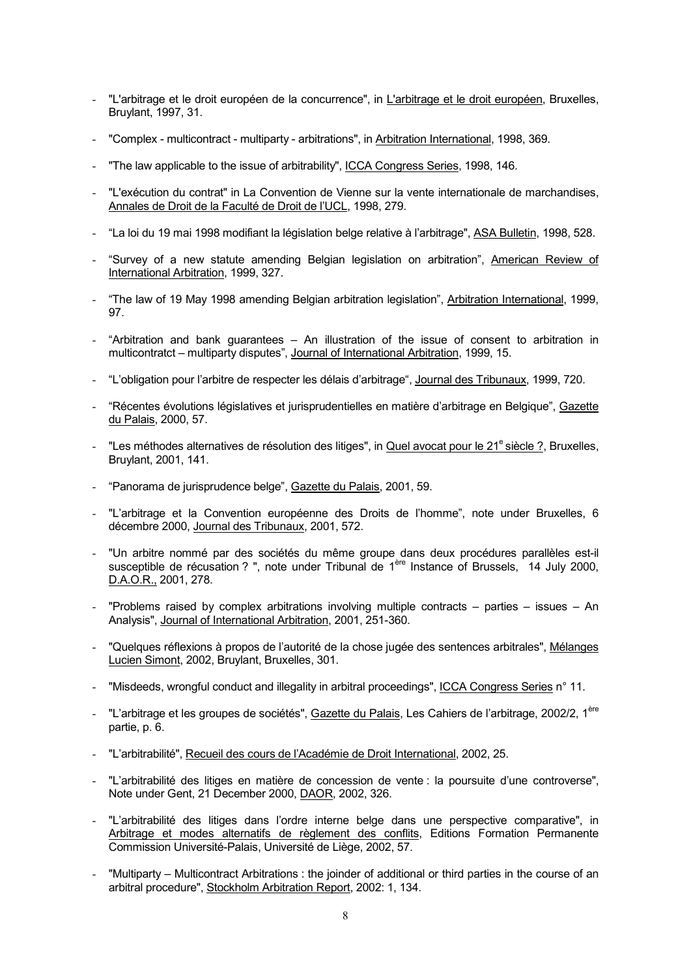- "L'arbitrage et le droit européen de la concurrence", in L'arbitrage et le droit européen, Bruxelles, Bruylant, 1997, 31.
- "Complex multicontract multiparty arbitrations", in Arbitration International, 1998, 369.
- "The law applicable to the issue of arbitrability", ICCA Congress Series, 1998, 146.
- "L'exécution du contrat" in La Convention de Vienne sur la vente internationale de marchandises, Annales de Droit de la Faculté de Droit de l'UCL, 1998, 279.
- "La loi du 19 mai 1998 modifiant la législation belge relative à l'arbitrage", ASA Bulletin, 1998, 528.
- "Survey of a new statute amending Belgian legislation on arbitration", American Review of International Arbitration, 1999, 327.
- "The law of 19 May 1998 amending Belgian arbitration legislation", Arbitration International, 1999, 97.
- "Arbitration and bank guarantees An illustration of the issue of consent to arbitration in multicontratct – multiparty disputes", Journal of International Arbitration, 1999, 15.
- "L'obligation pour l'arbitre de respecter les délais d'arbitrage", Journal des Tribunaux, 1999, 720.
- "Récentes évolutions législatives et jurisprudentielles en matière d'arbitrage en Belgique", Gazette du Palais, 2000, 57.
- "Les méthodes alternatives de résolution des litiges", in Quel avocat pour le 21<sup>e</sup> siècle ?, Bruxelles, Bruylant, 2001, 141.
- "Panorama de jurisprudence belge", Gazette du Palais, 2001, 59.
- "L'arbitrage et la Convention européenne des Droits de l'homme", note under Bruxelles, 6 décembre 2000, Journal des Tribunaux, 2001, 572.
- "Un arbitre nommé par des sociétés du même groupe dans deux procédures parallèles est-il susceptible de récusation ? ", note under Tribunal de 1ère Instance of Brussels, 14 July 2000, D.A.O.R., 2001, 278.
- "Problems raised by complex arbitrations involving multiple contracts parties issues An Analysis", Journal of International Arbitration, 2001, 251-360.
- "Quelques réflexions à propos de l'autorité de la chose jugée des sentences arbitrales", Mélanges Lucien Simont, 2002, Bruylant, Bruxelles, 301.
- "Misdeeds, wrongful conduct and illegality in arbitral proceedings", ICCA Congress Series n° 11.
- "L'arbitrage et les groupes de sociétés", Gazette du Palais, Les Cahiers de l'arbitrage, 2002/2, 1<sup>ère</sup> partie, p. 6.
- "L'arbitrabilité", Recueil des cours de l'Académie de Droit International, 2002, 25.
- "L'arbitrabilité des litiges en matière de concession de vente : la poursuite d'une controverse", Note under Gent, 21 December 2000, DAOR, 2002, 326.
- "L'arbitrabilité des litiges dans l'ordre interne belge dans une perspective comparative", in Arbitrage et modes alternatifs de règlement des conflits, Editions Formation Permanente Commission Université-Palais, Université de Liège, 2002, 57.
- "Multiparty Multicontract Arbitrations : the joinder of additional or third parties in the course of an arbitral procedure", Stockholm Arbitration Report, 2002: 1, 134.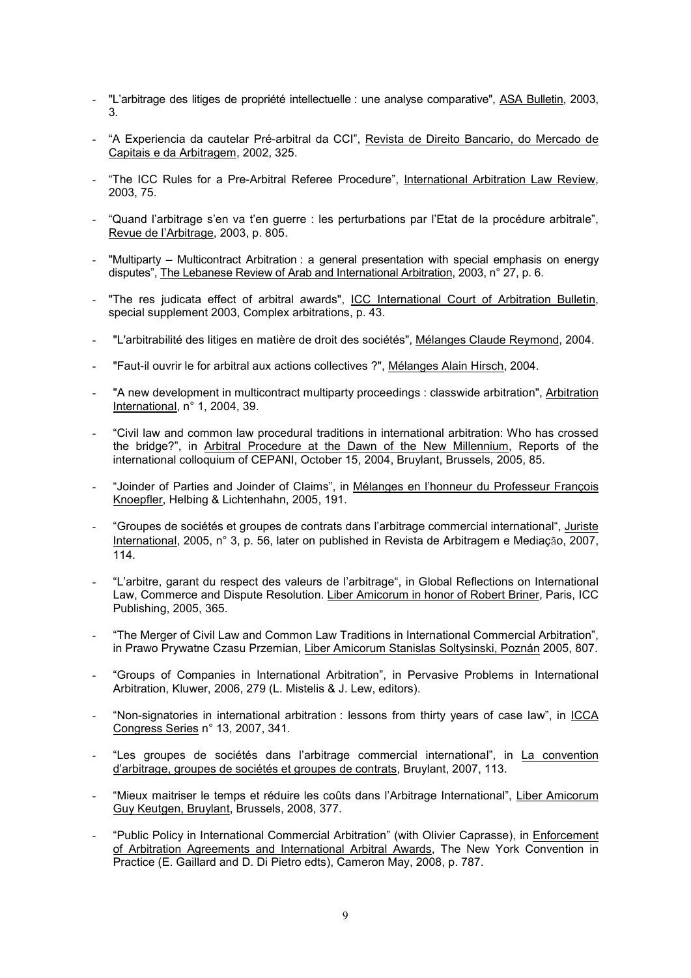- "L'arbitrage des litiges de propriété intellectuelle : une analyse comparative", ASA Bulletin, 2003, 3.
- "A Experiencia da cautelar Pré-arbitral da CCI", Revista de Direito Bancario, do Mercado de Capitais e da Arbitragem, 2002, 325.
- "The ICC Rules for a Pre-Arbitral Referee Procedure", International Arbitration Law Review, 2003, 75.
- "Quand l'arbitrage s'en va t'en guerre : les perturbations par l'Etat de la procédure arbitrale", Revue de l'Arbitrage, 2003, p. 805.
- "Multiparty Multicontract Arbitration : a general presentation with special emphasis on energy disputes", The Lebanese Review of Arab and International Arbitration, 2003, n° 27, p. 6.
- "The res judicata effect of arbitral awards", ICC International Court of Arbitration Bulletin, special supplement 2003, Complex arbitrations, p. 43.
- "L'arbitrabilité des litiges en matière de droit des sociétés", Mélanges Claude Reymond, 2004.
- "Faut-il ouvrir le for arbitral aux actions collectives ?", Mélanges Alain Hirsch, 2004.
- "A new development in multicontract multiparty proceedings : classwide arbitration", Arbitration International, n° 1, 2004, 39.
- "Civil law and common law procedural traditions in international arbitration: Who has crossed the bridge?", in Arbitral Procedure at the Dawn of the New Millennium, Reports of the international colloquium of CEPANI, October 15, 2004, Bruylant, Brussels, 2005, 85.
- "Joinder of Parties and Joinder of Claims", in Mélanges en l'honneur du Professeur François Knoepfler, Helbing & Lichtenhahn, 2005, 191.
- "Groupes de sociétés et groupes de contrats dans l'arbitrage commercial international", Juriste International, 2005, n° 3, p. 56, later on published in Revista de Arbitragem e Mediação, 2007, 114.
- "L'arbitre, garant du respect des valeurs de l'arbitrage", in Global Reflections on International Law, Commerce and Dispute Resolution. Liber Amicorum in honor of Robert Briner, Paris, ICC Publishing, 2005, 365.
- "The Merger of Civil Law and Common Law Traditions in International Commercial Arbitration", in Prawo Prywatne Czasu Przemian, Liber Amicorum Stanislas Soltysinski, Poznán 2005, 807.
- "Groups of Companies in International Arbitration", in Pervasive Problems in International Arbitration, Kluwer, 2006, 279 (L. Mistelis & J. Lew, editors).
- "Non-signatories in international arbitration : lessons from thirty years of case law", in ICCA Congress Series n° 13, 2007, 341.
- "Les groupes de sociétés dans l'arbitrage commercial international", in La convention d'arbitrage, groupes de sociétés et groupes de contrats, Bruylant, 2007, 113.
- "Mieux maitriser le temps et réduire les coûts dans l'Arbitrage International", Liber Amicorum Guy Keutgen, Bruylant, Brussels, 2008, 377.
- "Public Policy in International Commercial Arbitration" (with Olivier Caprasse), in Enforcement of Arbitration Agreements and International Arbitral Awards, The New York Convention in Practice (E. Gaillard and D. Di Pietro edts), Cameron May, 2008, p. 787.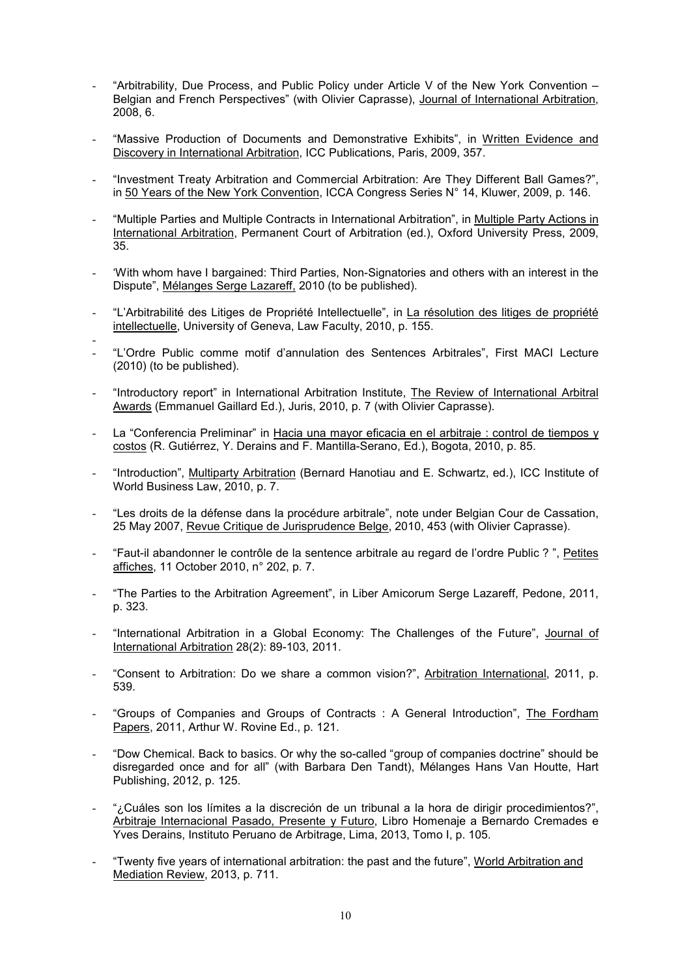- "Arbitrability, Due Process, and Public Policy under Article V of the New York Convention  $-$ Belgian and French Perspectives" (with Olivier Caprasse), Journal of International Arbitration, 2008, 6.
- "Massive Production of Documents and Demonstrative Exhibits", in Written Evidence and Discovery in International Arbitration, ICC Publications, Paris, 2009, 357.
- "Investment Treaty Arbitration and Commercial Arbitration: Are They Different Ball Games?", in 50 Years of the New York Convention, ICCA Congress Series N° 14, Kluwer, 2009, p. 146.
- "Multiple Parties and Multiple Contracts in International Arbitration", in Multiple Party Actions in International Arbitration, Permanent Court of Arbitration (ed.), Oxford University Press, 2009, 35.
- 'With whom have I bargained: Third Parties, Non-Signatories and others with an interest in the Dispute", Mélanges Serge Lazareff, 2010 (to be published).
- "L'Arbitrabilité des Litiges de Propriété Intellectuelle", in La résolution des litiges de propriété intellectuelle, University of Geneva, Law Faculty, 2010, p. 155.
- - "L'Ordre Public comme motif d'annulation des Sentences Arbitrales", First MACI Lecture (2010) (to be published).
- "Introductory report" in International Arbitration Institute, The Review of International Arbitral Awards (Emmanuel Gaillard Ed.), Juris, 2010, p. 7 (with Olivier Caprasse).
- La "Conferencia Preliminar" in Hacia una mayor eficacia en el arbitraje : control de tiempos y costos (R. Gutiérrez, Y. Derains and F. Mantilla-Serano, Ed.), Bogota, 2010, p. 85.
- "Introduction", Multiparty Arbitration (Bernard Hanotiau and E. Schwartz, ed.), ICC Institute of World Business Law, 2010, p. 7.
- "Les droits de la défense dans la procédure arbitrale", note under Belgian Cour de Cassation, 25 May 2007, Revue Critique de Jurisprudence Belge, 2010, 453 (with Olivier Caprasse).
- "Faut-il abandonner le contrôle de la sentence arbitrale au regard de l'ordre Public ? ", Petites affiches, 11 October 2010, n° 202, p. 7.
- "The Parties to the Arbitration Agreement", in Liber Amicorum Serge Lazareff, Pedone, 2011, p. 323.
- "International Arbitration in a Global Economy: The Challenges of the Future", Journal of International Arbitration 28(2): 89-103, 2011.
- "Consent to Arbitration: Do we share a common vision?", Arbitration International, 2011, p. 539.
- "Groups of Companies and Groups of Contracts : A General Introduction", The Fordham Papers, 2011, Arthur W. Rovine Ed., p. 121.
- "Dow Chemical. Back to basics. Or why the so-called "group of companies doctrine" should be disregarded once and for all" (with Barbara Den Tandt), Mélanges Hans Van Houtte, Hart Publishing, 2012, p. 125.
- "¿Cuáles son los límites a la discreción de un tribunal a la hora de dirigir procedimientos?", Arbitraje Internacional Pasado, Presente y Futuro, Libro Homenaje a Bernardo Cremades e Yves Derains, Instituto Peruano de Arbitrage, Lima, 2013, Tomo I, p. 105.
- "Twenty five years of international arbitration: the past and the future", World Arbitration and Mediation Review, 2013, p. 711.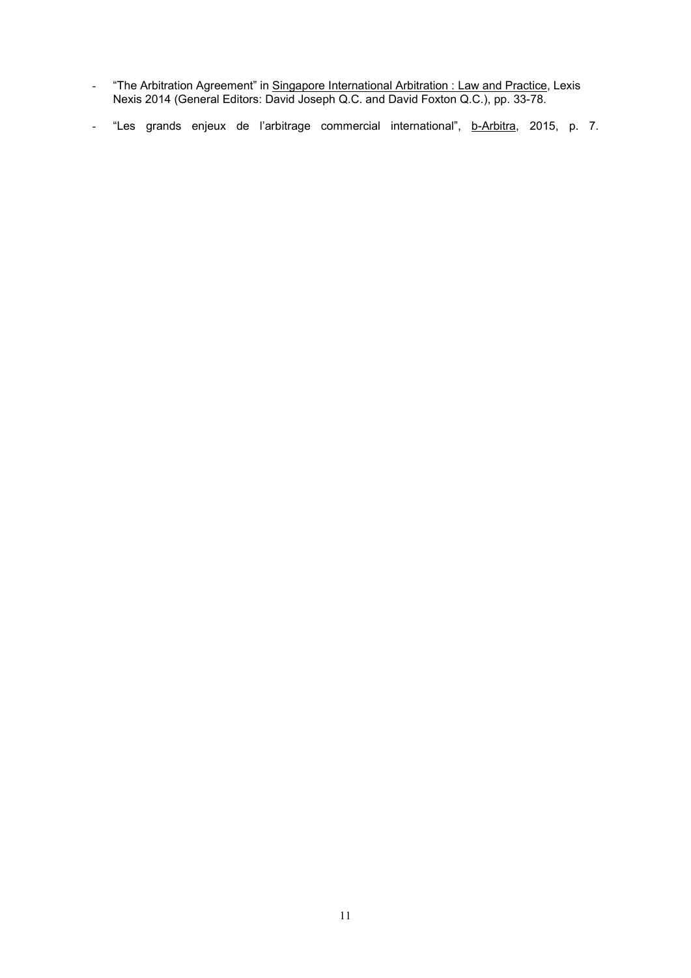- "The Arbitration Agreement" in <u>Singapore International Arbitration : Law and Practice</u>, Lexis Nexis 2014 (General Editors: David Joseph Q.C. and David Foxton Q.C.), pp. 33-78.
- "Les grands enjeux de l'arbitrage commercial international", b-Arbitra, 2015, p. 7.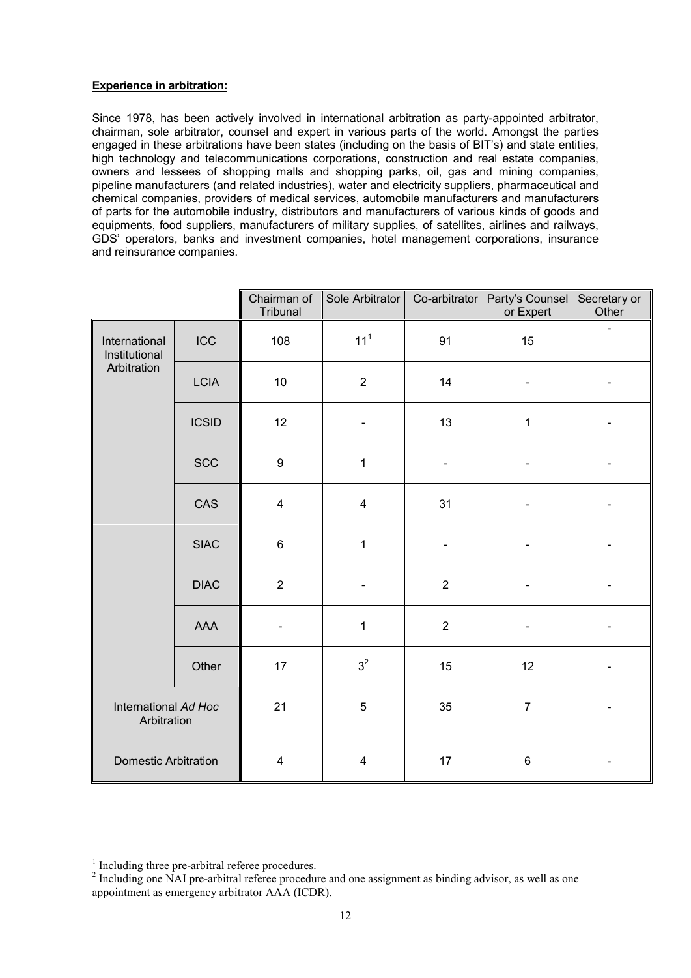# Experience in arbitration:

Since 1978, has been actively involved in international arbitration as party-appointed arbitrator, chairman, sole arbitrator, counsel and expert in various parts of the world. Amongst the parties engaged in these arbitrations have been states (including on the basis of BIT's) and state entities, high technology and telecommunications corporations, construction and real estate companies, owners and lessees of shopping malls and shopping parks, oil, gas and mining companies, pipeline manufacturers (and related industries), water and electricity suppliers, pharmaceutical and chemical companies, providers of medical services, automobile manufacturers and manufacturers of parts for the automobile industry, distributors and manufacturers of various kinds of goods and equipments, food suppliers, manufacturers of military supplies, of satellites, airlines and railways, GDS' operators, banks and investment companies, hotel management corporations, insurance and reinsurance companies.

|                                               |              | Chairman of<br>Tribunal | Sole Arbitrator          |                | Co-arbitrator Party's Counsel<br>or Expert | Secretary or<br>Other |
|-----------------------------------------------|--------------|-------------------------|--------------------------|----------------|--------------------------------------------|-----------------------|
| International<br>Institutional<br>Arbitration | <b>ICC</b>   | 108                     | $111$                    | 91             | 15                                         |                       |
|                                               | <b>LCIA</b>  | 10                      | $\overline{2}$           | 14             | $\qquad \qquad \blacksquare$               |                       |
|                                               | <b>ICSID</b> | 12                      | $\overline{\phantom{a}}$ | 13             | 1                                          |                       |
|                                               | <b>SCC</b>   | $\boldsymbol{9}$        | $\mathbf 1$              |                |                                            |                       |
|                                               | CAS          | $\overline{\mathbf{4}}$ | $\overline{\mathbf{4}}$  | 31             |                                            |                       |
|                                               | <b>SIAC</b>  | $6\phantom{a}$          | $\mathbf 1$              |                |                                            |                       |
|                                               | <b>DIAC</b>  | $\overline{2}$          |                          | $\overline{2}$ |                                            |                       |
|                                               | AAA          |                         | $\mathbf{1}$             | $\overline{2}$ |                                            |                       |
|                                               | Other        | 17                      | 3 <sup>2</sup>           | 15             | 12                                         |                       |
| International Ad Hoc<br>Arbitration           |              | 21                      | $\sqrt{5}$               | 35             | $\overline{7}$                             |                       |
| <b>Domestic Arbitration</b>                   |              | $\overline{\mathbf{4}}$ | $\overline{\mathbf{4}}$  | 17             | $\,6$                                      |                       |

 $1$  Including three pre-arbitral referee procedures.<br><sup>2</sup> Including one NAI pre-arbitral referee procedure and one assignment as binding advisor, as well as one appointment as emergency arbitrator AAA (ICDR).